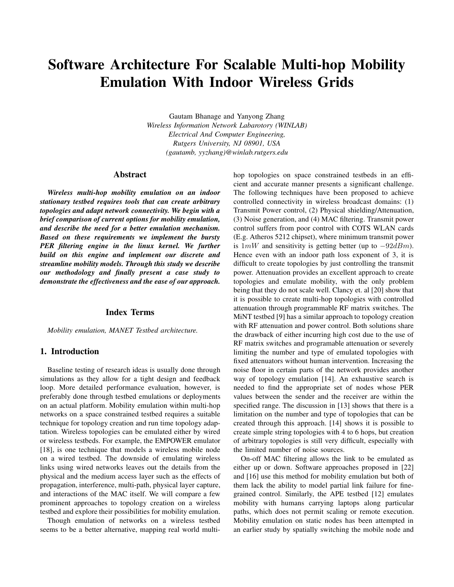# **Software Architecture For Scalable Multi-hop Mobility Emulation With Indoor Wireless Grids**

Gautam Bhanage and Yanyong Zhang *Wireless Information Network Labarotory (WINLAB) Electrical And Computer Engineering, Rutgers University, NJ 08901, USA (gautamb, yyzhang)@winlab.rutgers.edu*

## **Abstract**

*Wireless multi-hop mobility emulation on an indoor stationary testbed requires tools that can create arbitrary topologies and adapt network connectivity. We begin with a brief comparison of current options for mobility emulation, and describe the need for a better emulation mechanism. Based on these requirements we implement the bursty PER filtering engine in the linux kernel. We further build on this engine and implement our discrete and streamline mobility models. Through this study we describe our methodology and finally present a case study to demonstrate the effectiveness and the ease of our approach.*

## **Index Terms**

*Mobility emulation, MANET Testbed architecture.*

# **1. Introduction**

Baseline testing of research ideas is usually done through simulations as they allow for a tight design and feedback loop. More detailed performance evaluation, however, is preferably done through testbed emulations or deployments on an actual platform. Mobility emulation within multi-hop networks on a space constrained testbed requires a suitable technique for topology creation and run time topology adaptation. Wireless topologies can be emulated either by wired or wireless testbeds. For example, the EMPOWER emulator [18], is one technique that models a wireless mobile node on a wired testbed. The downside of emulating wireless links using wired networks leaves out the details from the physical and the medium access layer such as the effects of propagation, interference, multi-path, physical layer capture, and interactions of the MAC itself. We will compare a few prominent approaches to topology creation on a wireless testbed and explore their possibilities for mobility emulation.

Though emulation of networks on a wireless testbed seems to be a better alternative, mapping real world multihop topologies on space constrained testbeds in an efficient and accurate manner presents a significant challenge. The following techniques have been proposed to achieve controlled connectivity in wireless broadcast domains: (1) Transmit Power control, (2) Physical shielding/Attenuation, (3) Noise generation, and (4) MAC filtering. Transmit power control suffers from poor control with COTS WLAN cards (E.g. Atheros 5212 chipset), where minimum transmit power is <sup>1</sup>*mW* and sensitivity is getting better (up to <sup>−</sup>92*dBm*). Hence even with an indoor path loss exponent of 3, it is difficult to create topologies by just controlling the transmit power. Attenuation provides an excellent approach to create topologies and emulate mobility, with the only problem being that they do not scale well. Clancy et. al [20] show that it is possible to create multi-hop topologies with controlled attenuation through programmable RF matrix switches. The MiNT testbed [9] has a similar approach to topology creation with RF attenuation and power control. Both solutions share the drawback of either incurring high cost due to the use of RF matrix switches and programable attenuation or severely limiting the number and type of emulated topologies with fixed attenuators without human intervention. Increasing the noise floor in certain parts of the network provides another way of topology emulation [14]. An exhaustive search is needed to find the appropriate set of nodes whose PER values between the sender and the receiver are within the specified range. The discussion in [13] shows that there is a limitation on the number and type of topologies that can be created through this approach. [14] shows it is possible to create simple string topologies with 4 to 6 hops, but creation of arbitrary topologies is still very difficult, especially with the limited number of noise sources.

On-off MAC filtering allows the link to be emulated as either up or down. Software approaches proposed in [22] and [16] use this method for mobility emulation but both of them lack the ability to model partial link failure for finegrained control. Similarly, the APE testbed [12] emulates mobility with humans carrying laptops along particular paths, which does not permit scaling or remote execution. Mobility emulation on static nodes has been attempted in an earlier study by spatially switching the mobile node and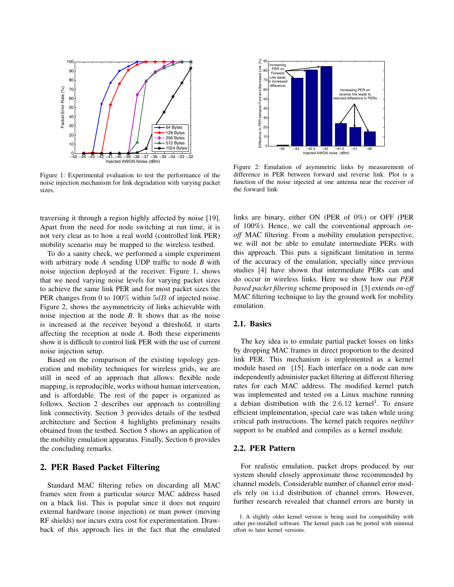

Figure 1: Experimental evaluation to test the performance of the noise injection mechanism for link degradation with varying packet sizes.

traversing it through a region highly affected by noise [19]. Apart from the need for node switching at run time, it is not very clear as to how a real world (controlled link PER) mobility scenario may be mapped to the wireless testbed.

To do a sanity check, we performed a simple experiment with arbitrary node *A* sending UDP traffic to node *B* with noise injection deployed at the receiver. Figure 1, shows that we need varying noise levels for varying packet sizes to achieve the same link PER and for most packet sizes the PER changes from 0 to 100% within 5*dB* of injected noise. Figure 2, shows the asymmetricity of links achievable with noise injection at the node *B*. It shows that as the noise is increased at the receiver beyond a threshold, it starts affecting the reception at node *A*. Both these experiments show it is difficult to control link PER with the use of current noise injection setup.

Based on the comparison of the existing topology generation and mobility techniques for wireless grids, we are still in need of an approach that allows: flexible node mapping, is reproducible, works without human intervention, and is affordable. The rest of the paper is organized as follows. Section 2 describes our approach to controlling link connectivity. Section 3 provides details of the testbed architecture and Section 4 highlights preliminary results obtained from the testbed. Section 5 shows an application of the mobility emulation apparatus. Finally, Section 6 provides the concluding remarks.

## **2. PER Based Packet Filtering**

Standard MAC filtering relies on discarding all MAC frames seen from a particular source MAC address based on a black list. This is popular since it does not require external hardware (noise injection) or man power (moving RF shields) nor incurs extra cost for experimentation. Drawback of this approach lies in the fact that the emulated



Figure 2: Emulation of asymmetric links by measurement of difference in PER between forward and reverse link. Plot is a function of the noise injected at one antenna near the receiver of the forward link

links are binary, either ON (PER of 0%) or OFF (PER of 100%). Hence, we call the conventional approach *onoff* MAC filtering. From a mobility emulation perspective, we will not be able to emulate intermediate PERs with this approach. This puts a significant limitation in terms of the accuracy of the emulation, specially since previous studies [4] have shown that intermediate PERs can and do occur in wireless links. Here we show how our *PER based packet filtering* scheme proposed in [3] extends *on-off* MAC filtering technique to lay the ground work for mobility emulation.

# **2.1. Basics**

The key idea is to emulate partial packet losses on links by dropping MAC frames in direct proportion to the desired link PER. This mechanism is implemented as a kernel module based on [15]. Each interface on a node can now independently administer packet filtering at different filtering rates for each MAC address. The modified kernel patch was implemented and tested on a Linux machine running a debian distribution with the  $2.6.12$  kernel<sup>1</sup>. To ensure efficient implementation, special care was taken while using critical path instructions. The kernel patch requires *netfilter* support to be enabled and compiles as a kernel module.

# **2.2. PER Pattern**

For realistic emulation, packet drops produced by our system should closely approximate those recommended by channel models. Considerable number of channel error models rely on i.i.d distribution of channel errors. However, further research revealed that channel errors are bursty in

<sup>1.</sup> A slightly older kernel version is being used for compatibility with other pre-installed software. The kernel patch can be ported with minimal effort to later kernel versions.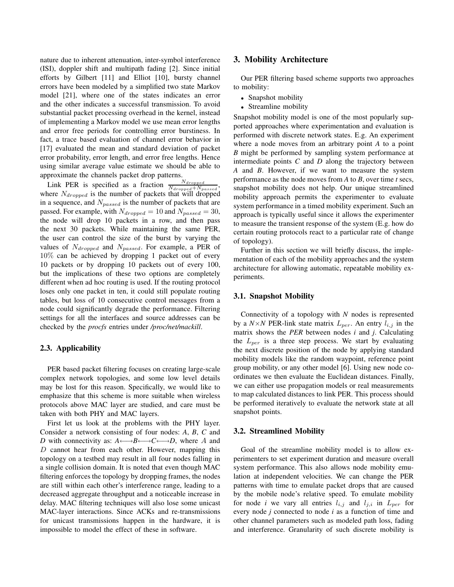nature due to inherent attenuation, inter-symbol interference (ISI), doppler shift and multipath fading [2]. Since initial efforts by Gilbert [11] and Elliot [10], bursty channel errors have been modeled by a simplified two state Markov model [21], where one of the states indicates an error and the other indicates a successful transmission. To avoid substantial packet processing overhead in the kernel, instead of implementing a Markov model we use mean error lengths and error free periods for controlling error burstiness. In fact, a trace based evaluation of channel error behavior in [17] evaluated the mean and standard deviation of packet error probability, error length, and error free lengths. Hence using similar average value estimate we should be able to approximate the channels packet drop patterns.<br> $I_{\text{int}}$  DED is specified as a fraction  $\frac{N_{dropped}}{N_{dropped}}$ 

Link PER is specified as a fraction  $\frac{N_{dropped}}{N_{dropped} + N_{passed}}$ , where *Ndropped* is the number of packets that will dropped in a sequence, and *Npassed* is the number of packets that are passed. For example, with  $N_{dropped} = 10$  and  $N_{passed} = 30$ , the node will drop 10 packets in a row, and then pass the next 30 packets. While maintaining the same PER, the user can control the size of the burst by varying the values of *Ndropped* and *Npassed*. For example, a PER of 10% can be achieved by dropping 1 packet out of every 10 packets or by dropping 10 packets out of every 100, but the implications of these two options are completely different when ad hoc routing is used. If the routing protocol loses only one packet in ten, it could still populate routing tables, but loss of 10 consecutive control messages from a node could significantly degrade the performance. Filtering settings for all the interfaces and source addresses can be checked by the *procfs* entries under */proc/net/mackill*.

# **2.3. Applicability**

PER based packet filtering focuses on creating large-scale complex network topologies, and some low level details may be lost for this reason. Specifically, we would like to emphasize that this scheme is more suitable when wireless protocols above MAC layer are studied, and care must be taken with both PHY and MAC layers.

First let us look at the problems with the PHY layer. Consider a network consisting of four nodes: *A*, *B*, *C* and *D* with connectivity as:  $A \leftarrow B \leftarrow C \leftarrow D$ , where *A* and *D* cannot hear from each other. However, mapping this topology on a testbed may result in all four nodes falling in a single collision domain. It is noted that even though MAC filtering enforces the topology by dropping frames, the nodes are still within each other's interference range, leading to a decreased aggregate throughput and a noticeable increase in delay. MAC filtering techniques will also lose some unicast MAC-layer interactions. Since ACKs and re-transmissions for unicast transmissions happen in the hardware, it is impossible to model the effect of these in software.

# **3. Mobility Architecture**

Our PER filtering based scheme supports two approaches to mobility:

- *•* Snapshot mobility
- *•* Streamline mobility

Snapshot mobility model is one of the most popularly supported approaches where experimentation and evaluation is performed with discrete network states. E.g. An experiment where a node moves from an arbitrary point *A* to a point *B* might be performed by sampling system performance at intermediate points *C* and *D* along the trajectory between *A* and *B*. However, if we want to measure the system performance as the node moves from *A* to *B*, over time *t* secs, snapshot mobility does not help. Our unique streamlined mobility approach permits the experimenter to evaluate system performance in a timed mobility experiment. Such an approach is typically useful since it allows the experimenter to measure the transient response of the system (E.g. how do certain routing protocols react to a particular rate of change of topology).

Further in this section we will briefly discuss, the implementation of each of the mobility approaches and the system architecture for allowing automatic, repeatable mobility experiments.

## **3.1. Snapshot Mobility**

Connectivity of a topology with *N* nodes is represented by a  $N \times N$  PER-link state matrix  $L_{per}$ . An entry  $l_{i,j}$  in the matrix shows the *PER* between nodes *i* and *j*. Calculating the *Lper* is a three step process. We start by evaluating the next discrete position of the node by applying standard mobility models like the random waypoint, reference point group mobility, or any other model [6]. Using new node coordinates we then evaluate the Euclidean distances. Finally, we can either use propagation models or real measurements to map calculated distances to link PER. This process should be performed iteratively to evaluate the network state at all snapshot points.

#### **3.2. Streamlined Mobility**

Goal of the streamline mobility model is to allow experimenters to set experiment duration and measure overall system performance. This also allows node mobility emulation at independent velocities. We can change the PER patterns with time to emulate packet drops that are caused by the mobile node's relative speed. To emulate mobility for node *i* we vary all entries  $l_{i,j}$  and  $l_{j,i}$  in  $L_{per}$  for every node *j* connected to node *i* as a function of time and other channel parameters such as modeled path loss, fading and interference. Granularity of such discrete mobility is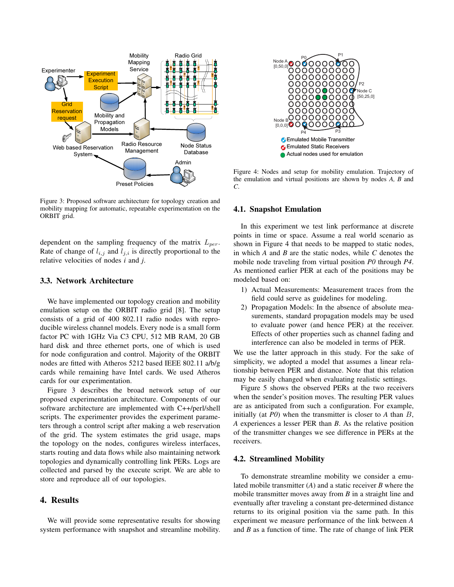

Figure 3: Proposed software architecture for topology creation and mobility mapping for automatic, repeatable experimentation on the ORBIT grid.

dependent on the sampling frequency of the matrix *Lper*. Rate of change of  $l_{i,j}$  and  $l_{j,i}$  is directly proportional to the relative velocities of nodes *i* and *j*.

# **3.3. Network Architecture**

We have implemented our topology creation and mobility emulation setup on the ORBIT radio grid [8]. The setup consists of a grid of 400 802.11 radio nodes with reproducible wireless channel models. Every node is a small form factor PC with 1GHz Via C3 CPU, 512 MB RAM, 20 GB hard disk and three ethernet ports, one of which is used for node configuration and control. Majority of the ORBIT nodes are fitted with Atheros 5212 based IEEE 802.11 a/b/g cards while remaining have Intel cards. We used Atheros cards for our experimentation.

Figure 3 describes the broad network setup of our proposed experimentation architecture. Components of our software architecture are implemented with C++/perl/shell scripts. The experimenter provides the experiment parameters through a control script after making a web reservation of the grid. The system estimates the grid usage, maps the topology on the nodes, configures wireless interfaces, starts routing and data flows while also maintaining network topologies and dynamically controlling link PERs. Logs are collected and parsed by the execute script. We are able to store and reproduce all of our topologies.

# **4. Results**

We will provide some representative results for showing system performance with snapshot and streamline mobility.



Figure 4: Nodes and setup for mobility emulation. Trajectory of the emulation and virtual positions are shown by nodes *A, B* and *C*.

#### **4.1. Snapshot Emulation**

In this experiment we test link performance at discrete points in time or space. Assume a real world scenario as shown in Figure 4 that needs to be mapped to static nodes, in which *A* and *B* are the static nodes, while *C* denotes the mobile node traveling from virtual position *P0* through *P4*. As mentioned earlier PER at each of the positions may be modeled based on:

- 1) Actual Measurements: Measurement traces from the field could serve as guidelines for modeling.
- 2) Propagation Models: In the absence of absolute measurements, standard propagation models may be used to evaluate power (and hence PER) at the receiver. Effects of other properties such as channel fading and interference can also be modeled in terms of PER.

We use the latter approach in this study. For the sake of simplicity, we adopted a model that assumes a linear relationship between PER and distance. Note that this relation may be easily changed when evaluating realistic settings.

Figure 5 shows the observed PERs at the two receivers when the sender's position moves. The resulting PER values are as anticipated from such a configuration. For example, initially (at *P0*) when the transmitter is closer to *A* than *B*, *A* experiences a lesser PER than *B*. As the relative position of the transmitter changes we see difference in PERs at the receivers.

#### **4.2. Streamlined Mobility**

To demonstrate streamline mobility we consider a emulated mobile transmitter (*A*) and a static receiver *B* where the mobile transmitter moves away from *B* in a straight line and eventually after traveling a constant pre-determined distance returns to its original position via the same path. In this experiment we measure performance of the link between *A* and *B* as a function of time. The rate of change of link PER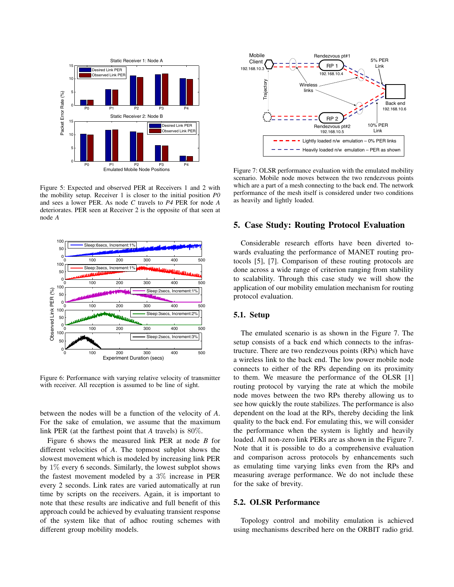

Figure 5: Expected and observed PER at Receivers 1 and 2 with the mobility setup. Receiver 1 is closer to the initial position *P0* and sees a lower PER. As node *C* travels to *P4* PER for node *A* deteriorates. PER seen at Receiver 2 is the opposite of that seen at node *A*



Figure 6: Performance with varying relative velocity of transmitter with receiver. All reception is assumed to be line of sight.

between the nodes will be a function of the velocity of *A*. For the sake of emulation, we assume that the maximum link PER (at the farthest point that *A* travels) is 80%.

Figure 6 shows the measured link PER at node *B* for different velocities of *A*. The topmost subplot shows the slowest movement which is modeled by increasing link PER by 1% every 6 seconds. Similarly, the lowest subplot shows the fastest movement modeled by a 3% increase in PER every 2 seconds. Link rates are varied automatically at run time by scripts on the receivers. Again, it is important to note that these results are indicative and full benefit of this approach could be achieved by evaluating transient response of the system like that of adhoc routing schemes with different group mobility models.



Figure 7: OLSR performance evaluation with the emulated mobility scenario. Mobile node moves between the two rendezvous points which are a part of a mesh connecting to the back end. The network performance of the mesh itself is considered under two conditions as heavily and lightly loaded.

# **5. Case Study: Routing Protocol Evaluation**

Considerable research efforts have been diverted towards evaluating the performance of MANET routing protocols [5], [7]. Comparison of these routing protocols are done across a wide range of criterion ranging from stability to scalability. Through this case study we will show the application of our mobility emulation mechanism for routing protocol evaluation.

## **5.1. Setup**

The emulated scenario is as shown in the Figure 7. The setup consists of a back end which connects to the infrastructure. There are two rendezvous points (RPs) which have a wireless link to the back end. The low power mobile node connects to either of the RPs depending on its proximity to them. We measure the performance of the OLSR [1] routing protocol by varying the rate at which the mobile node moves between the two RPs thereby allowing us to see how quickly the route stabilizes. The performance is also dependent on the load at the RPs, thereby deciding the link quality to the back end. For emulating this, we will consider the performance when the system is lightly and heavily loaded. All non-zero link PERs are as shown in the Figure 7. Note that it is possible to do a comprehensive evaluation and comparison across protocols by enhancements such as emulating time varying links even from the RPs and measuring average performance. We do not include these for the sake of brevity.

## **5.2. OLSR Performance**

Topology control and mobility emulation is achieved using mechanisms described here on the ORBIT radio grid.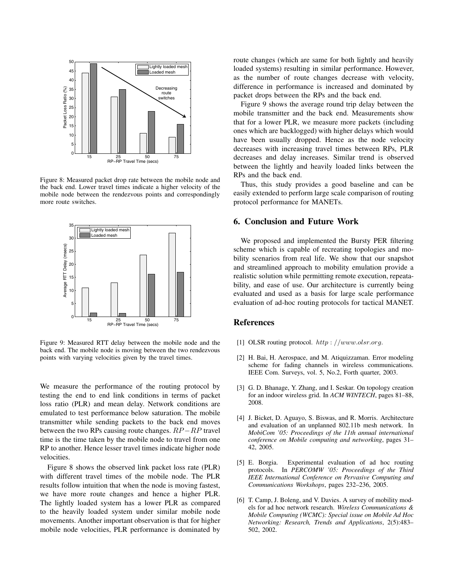

Figure 8: Measured packet drop rate between the mobile node and the back end. Lower travel times indicate a higher velocity of the mobile node between the rendezvous points and correspondingly more route switches.



Figure 9: Measured RTT delay between the mobile node and the back end. The mobile node is moving between the two rendezvous points with varying velocities given by the travel times.

We measure the performance of the routing protocol by testing the end to end link conditions in terms of packet loss ratio (PLR) and mean delay. Network conditions are emulated to test performance below saturation. The mobile transmitter while sending packets to the back end moves between the two RPs causing route changes. *RP* <sup>−</sup>*RP* travel time is the time taken by the mobile node to travel from one RP to another. Hence lesser travel times indicate higher node velocities.

Figure 8 shows the observed link packet loss rate (PLR) with different travel times of the mobile node. The PLR results follow intuition that when the node is moving fastest, we have more route changes and hence a higher PLR. The lightly loaded system has a lower PLR as compared to the heavily loaded system under similar mobile node movements. Another important observation is that for higher mobile node velocities, PLR performance is dominated by route changes (which are same for both lightly and heavily loaded systems) resulting in similar performance. However, as the number of route changes decrease with velocity, difference in performance is increased and dominated by packet drops between the RPs and the back end.

Figure 9 shows the average round trip delay between the mobile transmitter and the back end. Measurements show that for a lower PLR, we measure more packets (including ones which are backlogged) with higher delays which would have been usually dropped. Hence as the node velocity decreases with increasing travel times between RPs, PLR decreases and delay increases. Similar trend is observed between the lightly and heavily loaded links between the RPs and the back end.

Thus, this study provides a good baseline and can be easily extended to perform large scale comparison of routing protocol performance for MANETs.

# **6. Conclusion and Future Work**

We proposed and implemented the Bursty PER filtering scheme which is capable of recreating topologies and mobility scenarios from real life. We show that our snapshot and streamlined approach to mobility emulation provide a realistic solution while permitting remote execution, repeatability, and ease of use. Our architecture is currently being evaluated and used as a basis for large scale performance evaluation of ad-hoc routing protocols for tactical MANET.

# **References**

- [1] OLSR routing protocol. *http* : *//www.olsr.org*.
- [2] H. Bai, H. Aerospace, and M. Atiquizzaman. Error modeling scheme for fading channels in wireless communications. IEEE Com. Surveys, vol. 5, No.2, Forth quarter, 2003.
- [3] G. D. Bhanage, Y. Zhang, and I. Seskar. On topology creation for an indoor wireless grid. In *ACM WINTECH*, pages 81–88, 2008.
- [4] J. Bicket, D. Aguayo, S. Biswas, and R. Morris. Architecture and evaluation of an unplanned 802.11b mesh network. In *MobiCom '05: Proceedings of the 11th annual international conference on Mobile computing and networking*, pages 31– 42, 2005.
- [5] E. Borgia. Experimental evaluation of ad hoc routing protocols. In *PERCOMW '05: Proceedings of the Third IEEE International Conference on Pervasive Computing and Communications Workshops*, pages 232–236, 2005.
- [6] T. Camp, J. Boleng, and V. Davies. A survey of mobility models for ad hoc network research. *Wireless Communications & Mobile Computing (WCMC): Special issue on Mobile Ad Hoc Networking: Research, Trends and Applications*, 2(5):483– 502, 2002.